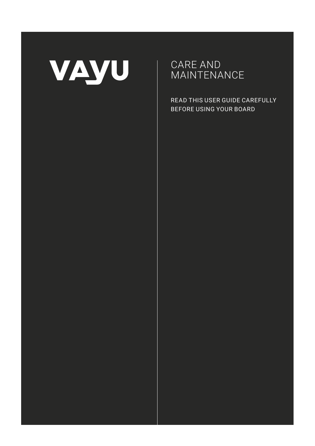

CARE AND **MAINTENANCE** 

READ THIS USER GUIDE CAREFULLY BEFORE USING YOUR BOARD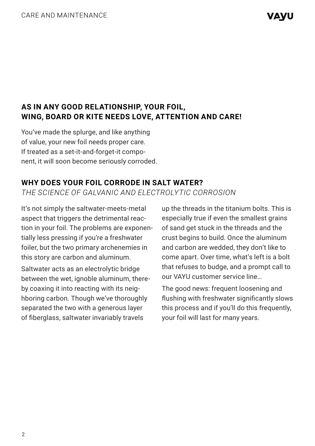# **AS IN ANY GOOD RELATIONSHIP, YOUR FOIL, WING, BOARD OR KITE NEEDS LOVE, ATTENTION AND CARE!**

You've made the splurge, and like anything of value, your new foil needs proper care. If treated as a set-it-and-forget-it component, it will soon become seriously corroded.

## **WHY DOES YOUR FOIL CORRODE IN SALT WATER?**

*THE SCIENCE OF GALVANIC AND ELECTROLYTIC CORROSION*

It's not simply the saltwater-meets-metal aspect that triggers the detrimental reaction in your foil. The problems are exponentially less pressing if you're a freshwater foiler, but the two primary archenemies in this story are carbon and aluminum.

Saltwater acts as an electrolytic bridge between the wet, ignoble aluminum, thereby coaxing it into reacting with its neighboring carbon. Though we've thoroughly separated the two with a generous layer of fiberglass, saltwater invariably travels

up the threads in the titanium bolts. This is especially true if even the smallest grains of sand get stuck in the threads and the crust begins to build. Once the aluminum and carbon are wedded, they don't like to come apart. Over time, what's left is a bolt that refuses to budge, and a prompt call to our VAYU customer service line…

The good news: frequent loosening and flushing with freshwater significantly slows this process and if you'll do this frequently, your foil will last for many years.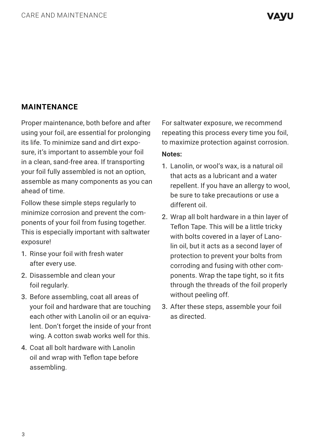## **MAINTENANCE**

Proper maintenance, both before and after using your foil, are essential for prolonging its life. To minimize sand and dirt exposure, it's important to assemble your foil in a clean, sand-free area. If transporting your foil fully assembled is not an option, assemble as many components as you can ahead of time.

Follow these simple steps regularly to minimize corrosion and prevent the components of your foil from fusing together. This is especially important with saltwater exposure!

- 1. Rinse your foil with fresh water after every use.
- 2. Disassemble and clean your foil regularly.
- 3. Before assembling, coat all areas of your foil and hardware that are touching each other with Lanolin oil or an equivalent. Don't forget the inside of your front wing. A cotton swab works well for this.
- 4. Coat all bolt hardware with Lanolin oil and wrap with Teflon tape before assembling.

For saltwater exposure, we recommend repeating this process every time you foil, to maximize protection against corrosion.

#### **Notes:**

- 1. Lanolin, or wool's wax, is a natural oil that acts as a lubricant and a water repellent. If you have an allergy to wool, be sure to take precautions or use a different oil.
- 2. Wrap all bolt hardware in a thin layer of Teflon Tape. This will be a little tricky with bolts covered in a layer of Lanolin oil, but it acts as a second layer of protection to prevent your bolts from corroding and fusing with other components. Wrap the tape tight, so it fits through the threads of the foil properly without peeling off.
- 3. After these steps, assemble your foil as directed.